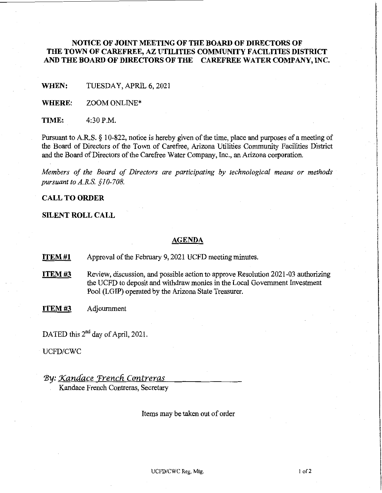# **NOTICE OF JOINT MEETING OF THE BOARD OF DIRECTORS OF THE TOWN OF CAREFREE, AZ UTILITIES COMMUNITY FACILITIES DISTRICT AND THE BOARD OF DIRECTORS OF THE CAREFREE WATER COMPANY, INC.**

**WHEN:** TUESDAY, APRIL 6, 2021

**WHERE:** ZOOM ONLINE\*

**TIME:** 4:30P.M.

Pursuant to A.RS. § 10-822, notice is hereby given of the time, place and purposes of a meeting of the Board of Directors of the Town of Carefree, Arizona Utilities Community Facilities District and the Board of Directors of the Carefree Water Company, Inc., an Arizona corporation.

*Members of the Board of Directors are participating by technological means or methods pursuant to A.R.S. §10-708.* 

## **CALL TO ORDER**

#### **SILENT ROLL CALL**

#### **AGENDA**

**ITEM #1** • Approval of the February 9, 2021 UCFD meeting minutes.

- **ITEM #3** Review, discussion, and possible action to approve Resolution 2021-03 authorizing the UCFD to deposit and withdraw monies in the Local Government Investment Pool (LGIP) operated by the Arizona State Treasurer.
- **ITEM#3** Adjournment

DATED this 2<sup>nd</sup> day of April, 2021.

UCFD/CWC

# 'By: *Xanaace Trencli Contreras*

Kandace French Contreras, Secretary

Items may be taken out of order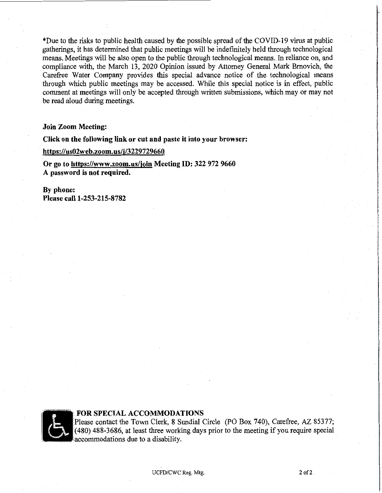\*Due to the risks to public health caused by the possible spread of the COVID-19 virus at public gatherings, it has determined that public meetings will be indefinitely held through technological means. Meetings will be also open to the public through technological means. In reliance on, and compliance with, the March 13, 2020 Opinion issued by Attorney General Mark Bmovich, the Carefree Water Company provides this special advance notice of the technological means through which public meetings may be accessed. While this special notice is in effect, public comment at meetings will only be accepted through written submissions, which may or may not be read aloud during meetings.

#### **Join Zoom Meeting:**

**Click on the following link or cut and paste it into your browser:** 

**https://us02web.zoom.us/j/3229729660** 

**Or go to https://www.zoom.us/join Meeting ID: 322 972 9660 A password is not required.** 

**By phone: Please call 1-253-215-8782** 



#### **FOR SPECIAL ACCOMMODATIONS**

Please contact the Town Clerk, 8 Sundial Circle (PO Box 740), Carefree, AZ 85377;  $(480)$  488-3686, at least three working days prior to the meeting if you require special accommodations due to a disability.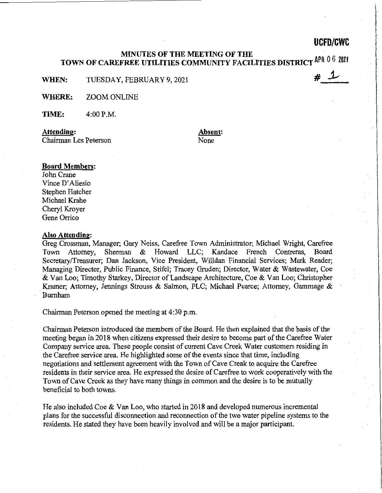# **UCFD/CWC**

# **j.,** 

## **MINUTES OF THE MEETING OF THE TOWN OF CAREFREE UTILITIES COMMUNITY FACILITIES DISTRICTAPR** 0 6 2021

**WHEN:** TUESDAY, FEBRUARY 9, 2021

**WHERE:** ZOOM ONLINE

**TIME:** 4:00P.M.

**Attending:**  Chairman Les Peterson **Absent:**  None

#### **Board Members:**

John Crane Vince D' Aliesio Stephen Hatcher Michael Krahe Cheryl Kroyer Gene Orrico

#### **Also Attending:**

Greg Crossman, Manager; Gary Neiss, Carefree Town Administrator; Michael Wright, Carefree Town Attorney. Sherman & Howard LLC: Kandace French Contreras, Board Town Attorney, Sherman & Howard LLC; Kandace French Contreras, Secretary/Treasurer; Dan Jackson, Vice President, Willdan Financial Services; Mark Reader; Managing Director, Public Finance, Stifel; Tracey Gruden; Director, Water & Wastewater, Coe & Van Loo; Timothy Starkey, Director of Landscape Architecture, Coe & Van Loo; Christopher Kramer; Attorney, Jennings Strouss & Salmon, PLC; Michael Pearce; Attorney, Gammage & Burnham

Chairman Peterson opened the meeting at 4:30 p.m.

Chairman Peterson introduced the members of the Board. He then explained that the basis of the meeting began in 2018 when citizens expressed their desire to become part of the Carefree Water Company service area. These people consist of current Cave Creek Water customers residing in the Carefree service area. He highlighted some of the events since that time, including negotiations and settlement agreement with the Town of Cave Creak to acquire the Carefree residents in their service area. He expressed the desire of Carefree to work cooperatively with the Town of Cave Creek as they have many things in common and the desire is to be mutually beneficial to both towns.

He also included Coe & Van Loo, who started in 2018 and developed numerous incremental plans for the successful disconnection and reconnection of the two water pipeline systems to the residents. He stated they have been heavily involved and will be a major participant.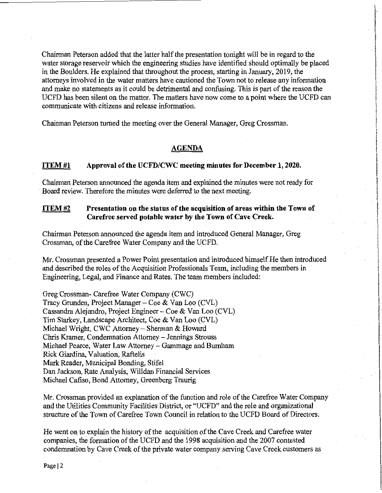Chairman Peterson added that the latter half the presentation tonight will be in regard to the water storage reservoir which the engineering studies have identified should optimally be placed in the Boulders. He explained that throughout the process, starting in January, 2019, the attorneys involved in the water matters have cautioned the Town not to release any information and make no statements as it could be detrimental and confusing. This is part of the reason the UCFD has been silent on the matter. The matters have now come to a point where the UCFD can communicate with citizens and release information.

Chairman Peterson turned the meeting over the General Manager, Greg Crossman.

## **AGENDA**

#### **ITEM#l Approval of the UCFD/CWC meeting minutes for December 1, 2020.**

Chairman Peterson announced the agenda item and explained the minutes were not ready for Board review. Therefore the minutes were deferred to the next meeting.

## **ITEM#2 Presentation on the status of the acquisition of areas within the Town of Carefree served potable water by the Town of Cave Creek.**

Chairman Peterson announced the agenda item and introduced General Manager, Greg Crossman, of the Carefree Water Company and the UCFD.

Mr. Crossman presented a Power Point presentation and introduced himself He then introduced and described the roles of the Acquisition Professionals Team, including the members in Engineering, Legal, and Finance and Rates. The team members included:

Greg Crossman- Carefree Water Company (CWC) Tracy Grunden, Project Manager- Coe & Van Loo (CVL) Cassandra Alejandro, Project Engineer- Coe & Van Loo (CVL) Tim Starkey, Landscape Architect, Coe & Van Loo (CVL) Michael Wright, CWC Attorney - Sherman & Howard Chris Kramer, Condemnation Attorney - Jennings Strouss Michael Pearce, Water Law Attorney - Gammage and Burnham Rick Giardina, Valuation, Raftelis Mark Reader, Municipal Bonding, Stifel Dan Jackson, Rate Analysis, Willdan Financial Services Michael Cafiso, Bond Attorney, Greenberg Traurig

Mr. Crossman provided an explanation of the function and role of the Carefree Water Company and the Utilities Community Facilities District, or "UCFD" and the role and organizational structure of the Town of Carefree Town Council in relation to the UCFD Board of Directors.

He went on to explain the history of the acquisition of the Cave Creek and Carefree water companies, the formation of the UCFD and the 1998 acquisition and the 2007 contested condemnation by Cave Creek of the private water company serving Cave Creek customers as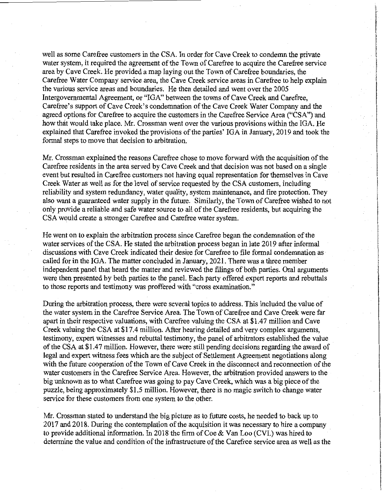well as some Carefree customers in the CSA. In order for Cave Creek to condemn the private water system, it required the agreement of the Town of Carefree to acquire the Carefree service area by Cave Creek. He provided a map laying out the Town of Carefree boundaries, the Carefree Water Company service area, the Cave Creek service areas in Carefree to help explain the various service areas and boundaries. He then detailed and went over the 2005 Intergovernmental Agreement, or "IGA" between the towns of Cave Creek and Carefree, Carefree's support of Cave Creek's condemnation of the Cave Creek Water Company and the agreed options for Carefree to acquire the customers in the Carefree Service Area ("CSA") and how that would take place. Mr. Crossman went over the various provisions within the IGA. He explained that Carefree invoked the provisions of the parties' IGA in January, 2019 and took the formal steps to move that decision to arbitration.

Mr. Crossman explained the reasons Carefree chose to move forward with the acquisition of the Carefree residents in the area served by Cave Creek and that decision was not based on a single event but resulted in Carefree customers not having equal representation for themselves in Cave Creek Water as well as for the level of service requested by the CSA customers, including reliability and system redundancy, water quality, system maintenance, and fire protection. They also want a guaranteed water supply in the future. Similarly, the Town of Carefree wished to not only provide a reliable and safe water source to all of the Carefree residents, but acquiring the CSA would create a stronger Carefree and Carefree water system.

He went on to explain the arbitration process since Carefree began the condemnation of the water services of the CSA. He stated the arbitration process began in late 2019 after informal discussions with Cave Creek indicated their desire for Carefree to file formal condemnation as called for in the IGA. The matter concluded in January, 2021. There was a three member independent panel that heard the matter and reviewed the filings of both parties. Oral arguments were then presented by both parties to the panel. Each party offered expert reports and rebuttals to those reports and testimony was proffered with "cross examination."

During the arbitration process, there were several topics to address. This included the value of the water system in the Carefree Service Area. The Town of Carefree and Cave Creek were far apart in their respective valuations, with Carefree valuing the CSA at \$1.47 million and Cave Creek valuing the CSA at \$17.4 million. After hearing detailed and very complex arguments, testimony, expert witnesses and rebuttal testimony, the panel of arbitrators established the value of the CSA at \$1.47 million. However, there were still pending decisions regarding the award of legal and expert witness fees which are the subject of Settlement Agreement negotiations along with the future cooperation of the Town of Cave Creek in the disconnect and reconnection of the water customers in the Carefree Service Area. However, the arbitration provided answers to the big unknown as to what Carefree was going to pay Cave Creek, which was a big piece of the puzzle, being approximately \$1.5 million. However, there is no magic switch to change water service for these customers from one system to the other.

Mr. Crossman stated to understand the big picture as to future costs, he needed to back up to 2017 and 2018. During the contemplation of the acquisition it was necessary to hire a company to provide additional information. In 2018 the firm of Coe & Van Loo (CVL) was hired to determine the value and condition of the infrastructure of the Carefree service area as well as the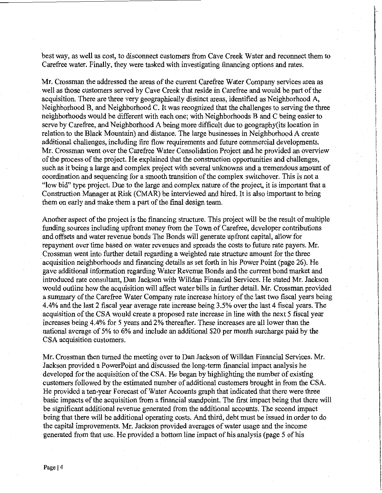best way, as well as cost, to disconnect customers from Cave Creek Water and reconnect them to Carefree water. Finally, they were tasked with investigating financing options and rates.

Mr. Crossman the addressed the areas of the current Carefree Water Company services area as well as those customers served by Cave Creek that reside in Carefree and would be part of the acquisition. There are three very geographically distinct areas, identified as Neighborhood A, Neighborhood B, and Neighborhood C. It was recognized that the challenges to serving the three neighborhoods would be different with each one; with Neighborhoods B and C being easier to serve by Carefree, and Neighborhood A being more difficult due to geography(its location in relation to the Black Mountain) and distance. The large businesses in Neighborhood A create additional challenges, including fire flow requirements and future commercial developments. Mr. Crossman went over the Carefree Water Consolidation Project and he provided an overview of the process of the project. He explained that the construction opportunities and challenges, such as it being a large and complex project with several unknowns and a tremendous amount of coordination and sequencing for a smooth transition of the complex switchover. This is not a "low bid" type project. Due to the large and complex nature of the project, it is important that a Construction Manager at Risk (CMAR) be interviewed and hired. It is also important to bring them on early and make them a part of the final design team.

Another aspect of the project is the financing structure. This project will be the result of multiple funding sources including upfront money from the Town of Carefree, developer contributions and offsets and water revenue bonds The Bonds will generate upfront capital, allow for repayment over time based on water revenues and spreads the costs to future rate payers. Mr. Crossman went into further detail regarding a weighted rate structure amount for the three acquisition neighborhoods and financing details as set forth in his Power Point (page 26). He gave additional information regarding Water Revenue Bonds and the current bond market and introduced rate consultant, Dan Jackson with Willdan Financial Services. He stated Mr. Jackson would outline how the acquisition will affect water bills in further detail. Mr. Crossman provided a summary of the Carefree Water Company rate increase history of the last two fiscal years being 4.4% and the last 2 fiscal year average rate increase being 3.5% over the last 4 fiscal years. The acquisition of the CSA would create a proposed rate increase in line with the next 5 fiscal year increases being 4.4% for 5 years and 2% thereafter. These increases are all lower than the national average of 5% to 6% and include an additional \$20 per month surcharge paid by the CSA acquisition customers.

Mr. Crossman then turned the meeting over to Dan Jackson of Willdan Financial Services. Mr. Jackson provided a PowerPoint and discussed the long-term financial impact analysis he developed for the acquisition of the CSA. He began by highlighting the number of existing customers followed by the estimated number of additional customers brought in from the CSA. He provided a ten-year Forecast of Water Accounts graph that indicated that there were three basic impacts of the acquisition from a financial standpoint. The first impact being that there will be significant additional revenue generated from the additional accounts. The second impact being that there will be additional operating costs. And third, debt must be issued in order to do the capital improvements. Mr. Jackson provided averages of water usage and the income generated from that use. He provided a bottom line impact of his analysis (page 5 of his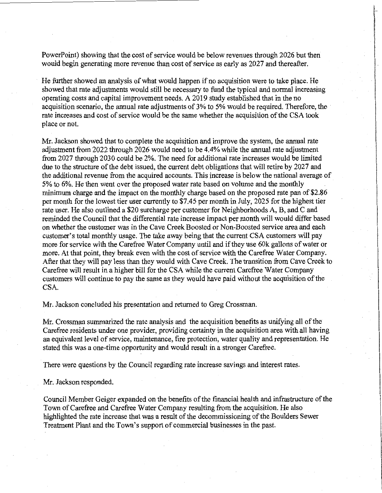PowerPoint) showing that the cost of service would be below revenues through 2026 but then would begin generating more revenue than cost of service as early as 2027 and thereafter.

He further showed an analysis of what would happen if no acquisition were to take place. He showed that rate adjustments would still be necessary to fund the typical and normal increasing operating costs and capital improvement needs. A 2019 study established that in the no acquisition scenario, the annual rate adjustments of 3% to 5% would be required. Therefore, the rate increases and cost of service would be the same whether the acquisition of the CSA took place or not.

Mr. Jackson showed that to complete the acquisition and improve the system, the annual rate adjustment from 2022 through 2026 would need to be 4.4% while the annual rate adjustment from 2027 through 2030 could be 2%. The need for additional rate increases would be limited due to the structure of the debt issued, the current debt obligations that will retire by 2027 and the additional revenue from the acquired accounts. This increase is below the national average of 5% to 6%. He then went over the proposed water rate based on volume and the monthly minimum charge and the impact on the monthly charge based on the proposed rate pan of \$2.86 per month for the lowest tier user currently to \$7.45 per month in July, 2025 for the highest tier rate user. He also outlined a \$20 surcharge per customer for Neighborhoods A, B, and C and reminded the Council that the differential rate increase impact per month will would differ based on whether the customer was in the Cave Creek Boosted or Non-Boosted service area and each customer's total monthly usage. The take away being that the current CSA customers will pay more for service with the Carefree Water Company until and if they use 60k gallons of water or more. At that point, they break even with the cost of service with the Carefree Water Company. After that they will pay less than they would with Cave Creek. The transition from Cave Creek to Carefree will result in a higher bill for the CSA while the current Carefree Water Company customers will continue to pay the same as they would have paid without the acquisition of the CSA.

Mr. Jackson concluded his presentation and returned to Greg Crossman.

Mr. Crossman summarized the rate analysis and the acquisition benefits as unifying all of the Carefree residents under one provider, providing certainty in the acquisition area with all having an equivalent level of service, maintenance, fire protection, water quality and representation. He stated this was a one-time opportunity and would result in a stronger Carefree.

There were questions by the Council regarding rate increase savings and interest rates.

Mr. Jackson responded.

Council Member Geiger expanded on the benefits of the financial health and infrastructure of the Town of Carefree and Carefree Water Company resulting from the acquisition. He also highlighted the rate increase that was a result of the decommissioning of the Boulders Sewer Treatment Plant and the Town's support of commercial businesses in the past.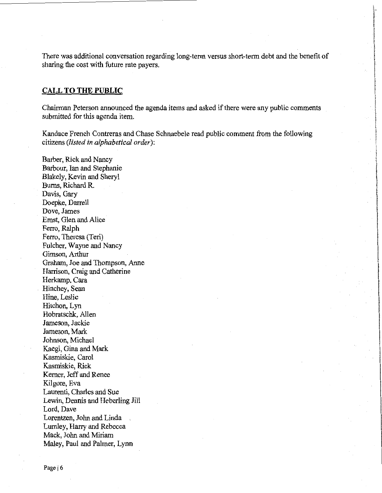There was additional conversation regarding long-term versus short-term debt and the benefit of sharing the cost with future rate payers.

## **CALL TO THE PUBLIC**

Chairman Peterson announced the agenda items and asked if there were any public comments submitted for this agenda item.

Kandace French Contreras and Chase Schnaebele read public comment from the following citizens *(listed in alphabetical order):* 

Barber, Rick and Nancy Barbour, Ian and Stephanie Blakely, Kevin and Sheryl Bums, Richard R. Davis, Gary Doepke, Darrell Dove, James Ernst, Glen and Alice Ferro, Ralph Ferro, Theresa (Teri) Fulcher, Wayne and Nancy Gimson, Arthur Graham, Joe and Thompson, Anne Harrison, Craig and Catherine Herkamp, Cara Hinchey, Sean Hine, Leslie Hitchon, Lyn Hobratschk, Allen Jameson, Jackie Jameson, Mark Johnson, Michael Kaegi, Gina and Mark Kasmiskie, Carol Kasmiskie, Rick Kerner, Jeff and Renee Kilgore, Eva Laurenti, Charles and Sue Lewin, Dennis and Heberling Jill Lord, Dave Lorentzen, John and Linda Lumley, Harry and Rebecca Mack, John and Miriam Maley, Paul and Palmer, Lynn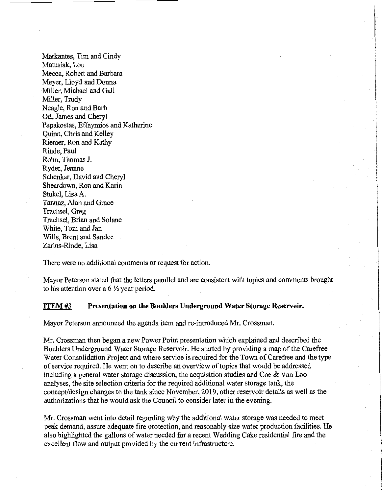Markantes, Tim and Cindy Matusiak, Lou Mecca, Robert and Barbara Meyer, Lloyd and Donna Miller, Michael and Gail Miller, Trudy Neagle, Ron and Barb Ori, James and Cheryl Papakostas, Efthymios and Katherine Quinn, Chris and Kelley Riemer, Ron and Kathy Rinde, Paul Rohn, Thomas J. Ryder, Jeanne Schenkar, David and Cheryl Sheardown, Ron and Karin Stukel, Lisa A. Tannaz, Alan and Grace Trachsel, Greg Trachsel, Brian and Solane White, Tom and Jan Wills, Brent and Sandee Zarins-Rinde, Lisa

There were no additional comments or request for action.

Mayor Peterson stated that the letters parallel and are consistent with topics and comments brought to his attention over a 6  $\frac{1}{2}$  year period.

## **ITEM#3 Presentation on the Boulders Underground Water Storage Reservoir.**

Mayor Peterson announced the agenda item and re-introduced Mr. Crossman.

Mr. Crossman then began a new Power Point presentation which explained and described the Boulders Underground Water Storage Reservoir. He started by providing a map of the Carefree Water Consolidation Project and where service is required for the Town of Carefree and the type of service required. He went on to describe an overview of topics that would be addressed including a general water storage discussion, the acquisition studies and  $\text{Coe} \& \text{Van} \text{ Loo}$ analyses, the site selection criteria for the required additional water storage tank, the concept/design changes to the tank since November, 2019, other reservoir details as well as the authorizations that he would ask the Council to consider later in the evening.

Mr. Crossman went into detail regarding why the additional water storage was needed to meet peak demand, assure adequate fire protection, and reasonably size water production facilities. He also highlighted the gallons of water needed for a recent Wedding Cake residential fire and the excellent flow and output provided by the current infrastructure.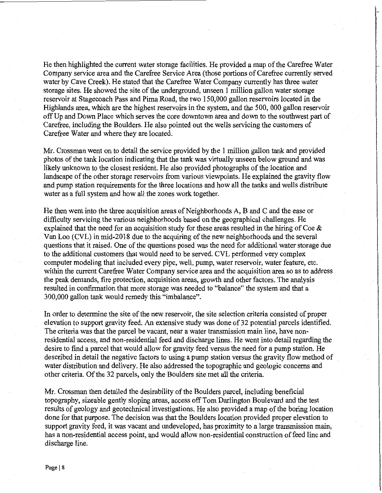He then highlighted the current water storage facilities. He provided a map of the Carefree Water Company service area and the Carefree Service Area (those portions of Carefree currently served water by Cave Creek). He stated that the Carefree Water Company currently has three water storage sites. He showed the site of the underground, unseen 1 million gallon water storage reservoir at Stagecoach Pass and Pima Road, the two 150,000 gallon reservoirs located in the Highlands area, which are the highest reservoirs in the system, and the 500, 000 gallon reservoir off Up and Down Place which serves the core downtown area and down to the southwest part of Carefree, including the Boulders. He also pointed out the wells servicing the customers of Carefree Water and where they are located.

Mr. Crossman went on to detail the service provided by the 1 million gallon tank and provided photos of the tank location indicating that the tank was virtually unseen below ground and was likely unknown to the closest resident. He also provided photographs of the location and landscape of the other storage reservoirs from various viewpoints. He explained the gravity flow and pump station requirements for the three locations and how all the tanks and wells distribute Water as a full system and how all the zones work together.

He then went into the three acquisition areas of Neighborhoods A, B and C and the ease or difficulty servicing the various neighborhoods based on the geographical challenges. He explained that the need for an acquisition study for these areas resulted in the hiring of Coe  $\&$ Van Loo (CVL) in mid-2018 due to the acquiring of the new neighborhoods and the several questions that it raised. One of the questions posed was the need for additional water storage due to the additional customers that would need to be served. CVL performed very complex computer modeling that included every pipe, well, pump, water reservoir, water feature, etc. within the current Carefree Water Company service area and the acquisition area so as to address the peak demands, fire protection, acquisition areas, growth and other factors. The analysis resulted in confirmation that more storage was needed to "balance" the system and that a 300,000 gallon tank would remedy this "imbalance".

In order to determine the site of the new reservoir, the site selection criteria consisted of proper elevation to support gravity feed. An extensive study was done of 32 potential parcels identified. The criteria was that the parcel be vacant, near a water transmission main line, have nonresidential access, and non-residential feed and discharge lines. He went into detail regarding the desire to find a parcel that would allow for gravity feed versus the need for a pump station. He described in detail the negative factors to using a pump station versus the gravity flow method of water distribution and delivery. He also addressed the topographic and geologic concerns and other criteria. Of the 32 parcels, only the Boulders site met all the criteria.

Mr. Crossman then detailed the desirability of the Boulders parcel, including beneficial topography, sizeable gently sloping areas, access off Tom Darlington Boulevard and the test results of geology and geotechnical investigations. He also provided a map of the boring location done for that purpose. The decision was that the Boulders location provided proper elevation to support gravity feed, it was vacant and undeveloped, has proximity to a large transmission main, has a non-residential access point, and would allow non-residential construction of feed line and discharge line.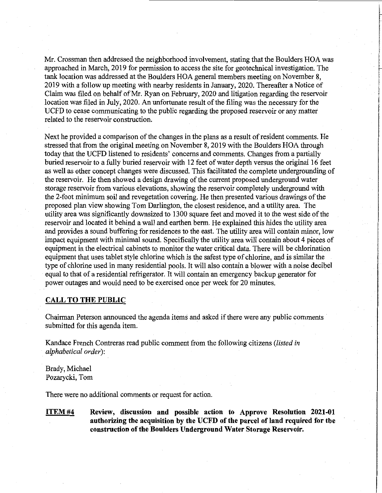Mr. Crossman then addressed the neighborhood involvement, stating that the Boulders HOA was approached in March, 2019 for permission to access the site for geotechnical investigation. The tank location was addressed at the Boulders HOA general members meeting on November 8, 2019 with a follow up meeting with nearby residents in January, 2020. Thereafter a Notice of Claim was filed on behalf of Mr. Ryan on February, 2020 and litigation regarding the reservoir location was filed in July, 2020. An unfortunate result of the filing was the necessary for the UCFD to cease communicating to the public regarding the proposed reservoir or any matter related to the reservoir construction.

Next he provided a comparison of the changes in the plans as a result of resident comments. He stressed that from the original meeting on November 8, 2019 with the Boulders HOA through today that the UCFD listened to residents' concerns and comments. Changes from a partially buried reservoir to a fully buried reservoir with 12 feet of water depth versus the original 16 feet as well as other concept changes were discussed. This facilitated the complete undergrounding of the reservoir. He then showed a design drawing of the current proposed underground water storage reservoir from various elevations, showing the reservoir completely underground with the 2-foot minimum soil and revegetation covering. He then presented various drawings of the proposed plan view showing Tom Darlington, the closest residence, and a utility area. The utility area was significantly downsized to 1300 square feet and moved it to the west side of the reservoir and located it behind a wall and earthen berm. He explained this hides the utility area and provides a sound buffering for residences to the east. The utility area will contain minor, low impact equipment with minimal sound. Specifically the utility area will contain about 4 pieces of equipment in the electrical cabinets to monitor the water critical data. There will be chlorination equipment that uses tablet style chlorine which is the safest type of chlorine, and is similar the type of chlorine used in many residential pools. It will also contain a blower with a noise decibel equal to that of a residential refrigerator. It will contain an emergency backup generator for power outages and would need to be exercised once per week for 20 minutes.

## **CALL TO THE PUBLIC**

Chairman Peterson announced the agenda items and asked if there were any public comments submitted for this agenda item.

Kandace French Contreras read public comment from the following citizens *(listed in alphabetical order):* 

Brady, Michael Pozarycki, Tom

There were no additional comments or request for action.

**ITEM#4 Review, discussion and possible action to Approve Resolution 2021-01 authorizing the acquisition by the UCFD of the parcel of land required for the construction of the Boulders Underground Water Storage Reservoir.**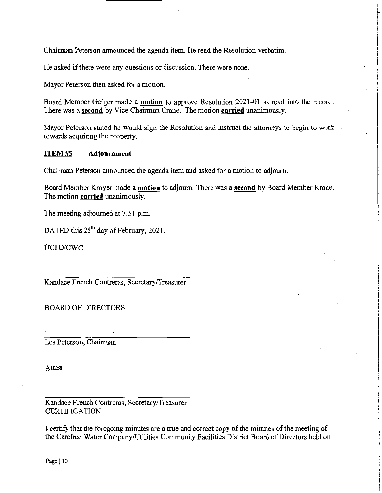Chairman Peterson announced the agenda item. He read the Resolution verbatim.

He asked if there were any questions or discussion. There were none.

Mayor Peterson then asked for a motion.

Board Member Geiger made a **motion** to approve Resolution 2021-01 as read into the record. There was a **second** by Vice Chairman Crane. The motion **carried** unanimously.

Mayor Peterson stated he would sign the Resolution and instruct the attorneys to begin to work towards acquiring the property.

#### **ITEM#S Adjournment**

Chairman Peterson announced the agenda item and asked for a motion to adjourn.

Board Member Kroyer made a **motion** to adjourn. There was a **second** by Board Member Krahe. The motion **carried** unanimously.

The meeting adjourned at 7:51 p.m.

DATED this 25<sup>th</sup> day of February, 2021.

UCFD/CWC

Kandace French Contreras, Secretary/Treasurer

BOARD OF DIRECTORS

Les Peterson, Chairman

Attest:

Kandace French Contreras, Secretary/Treasurer **CERTIFICATION** 

I-certify that the foregoing minutes are a true and correct copy of the minutes of the meeting of the Carefree Water Company/Utilities Community Facilities District Board of Directors held on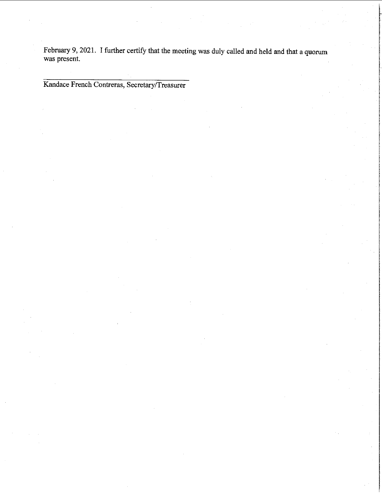February 9, 2021. I further certify that the meeting was duly called and held and that a quorum was present.

Kandace French Contreras, Secretary/Treasurer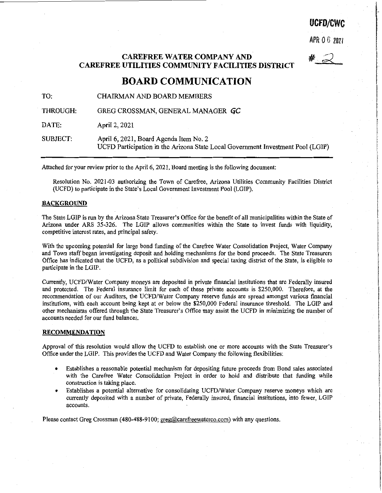# **UCFD/CWC**

APR 0 *6* ZOZ1

#\_ $\mathcal{Q}$ 

# **CAREFREE WATER COMPANY AND CAREFREE UTILITIES COMMUNITY FACILITIES DISTRICT**

# **BOARD COMMUNICATION**

TO: CHAIRMAN AND BOARD MEMBERS

THROUGH: GREG CROSSMAN, GENERAL MANAGER GC

DATE: April 2, 2021

SUBJECT: April 6, 2021, Board Agenda Item No. 2 UCFD Participation in the Arizona State Local Government Investment Pool (LGIP)

Attached for your review prior to the April 6, 2021, Board meeting is the following document:

Resolution No. 2021-03 authorizing the Town of Carefree, Arizona Utilities Community Facilities District (UCFD) to participate in the State's Local Government Investment Pool (LGIP).

#### **BACKGROUND**

The State LGIP is run by the Arizona State Treasurer's Office for the benefit of all municipalities within the State of Arizona under ARS 35-326. The LGIP allows communities within the State to invest funds with liquidity, competitive interest rates, and principal safety.

With the upcoming potential for large bond funding of the Carefree Water Consolidation Project, Water Company and Town staff began investigating deposit and holding mechanisms for the bond proceeds. The State Treasurers Office has indicated that the UCFD, as a political subdivision and special taxing district of the State, is eligible to participate in the LGIP.

Currently, UCFD/Water Company moneys are deposited in private financial institutions that are Federally insured and protected. The Federal insurance limit for each of these private accounts is \$250,000. Therefore, at the recommendation of our Auditors, the UCFD/Water Company reserve funds are spread amongst various financial institutions, with each account being kept at or below the \$250,000 Federal insurance threshold. The LGIP and other mechanisms offered through the State Treasurer's Office may assist the UCFD in minimizing the number of accounts needed for our fund balances.

#### **RECOMMENDATION**

Approval of this resolution would allow the UCFD to establish one or more accounts with the State Treasurer's Office under the LGIP. This provides the UCFD and Water Company the following flexibilities:

- Establishes a reasonable potential mechanism for depositing future proceeds from Bond sales associated with the Carefree Water Consolidation Project in order to hold and distribute that funding while construction is taking place.
- Establishes a potential alternative for consolidating UCFD/Water Company reserve moneys which are currently deposited with a number of private, Federally insured, financial institutions, into fewer, LGIP **accounts.**

Please contact Greg Crossman (480-488-9100; greg@carefreewaterco.com) with any questions.